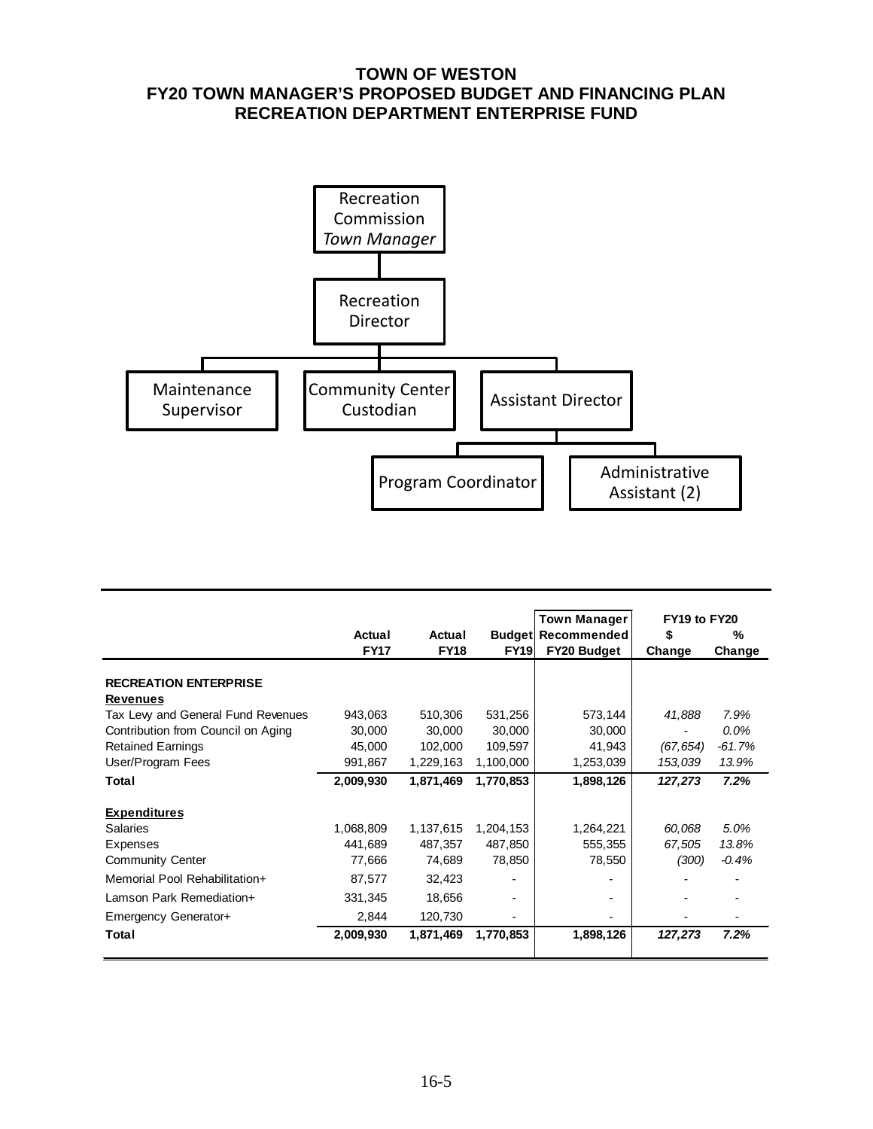### **TOWN OF WESTON FY20 TOWN MANAGER'S PROPOSED BUDGET AND FINANCING PLAN RECREATION DEPARTMENT ENTERPRISE FUND**



|                                    |             |             |                | <b>Town Manager</b>       | FY19 to FY20 |          |
|------------------------------------|-------------|-------------|----------------|---------------------------|--------------|----------|
|                                    | Actual      | Actual      |                | <b>Budget Recommended</b> | \$           | %        |
|                                    | <b>FY17</b> | <b>FY18</b> | <b>FY19</b>    | <b>FY20 Budget</b>        | Change       | Change   |
|                                    |             |             |                |                           |              |          |
| <b>RECREATION ENTERPRISE</b>       |             |             |                |                           |              |          |
| <b>Revenues</b>                    |             |             |                |                           |              |          |
| Tax Levy and General Fund Revenues | 943,063     | 510,306     | 531,256        | 573,144                   | 41,888       | 7.9%     |
| Contribution from Council on Aging | 30,000      | 30,000      | 30,000         | 30,000                    |              | $0.0\%$  |
| <b>Retained Earnings</b>           | 45,000      | 102,000     | 109,597        | 41,943                    | (67, 654)    | $-61.7%$ |
| User/Program Fees                  | 991,867     | 1,229,163   | 1,100,000      | 1,253,039                 | 153,039      | 13.9%    |
| Total                              | 2,009,930   | 1,871,469   | 1,770,853      | 1,898,126                 | 127,273      | 7.2%     |
| <b>Expenditures</b>                |             |             |                |                           |              |          |
| Salaries                           | 1,068,809   | 1,137,615   | 1,204,153      | 1,264,221                 | 60,068       | 5.0%     |
| Expenses                           | 441,689     | 487,357     | 487,850        | 555,355                   | 67,505       | 13.8%    |
| <b>Community Center</b>            | 77,666      | 74,689      | 78,850         | 78,550                    | (300)        | $-0.4%$  |
| Memorial Pool Rehabilitation+      | 87,577      | 32,423      | $\blacksquare$ |                           |              |          |
| Lamson Park Remediation+           | 331,345     | 18,656      | ۰.             |                           |              |          |
| Emergency Generator+               | 2,844       | 120,730     | $\blacksquare$ |                           |              |          |
| Total                              | 2,009,930   | 1,871,469   | 1,770,853      | 1,898,126                 | 127,273      | 7.2%     |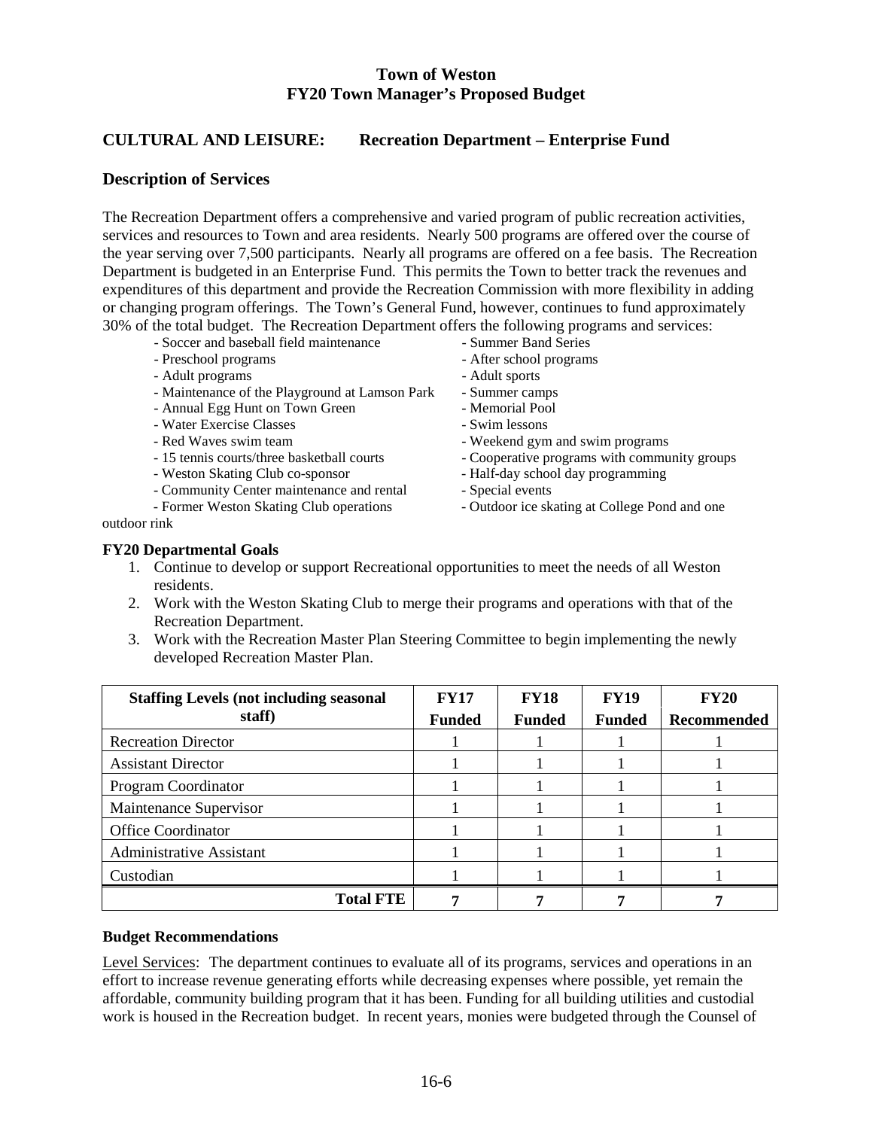### **CULTURAL AND LEISURE: Recreation Department – Enterprise Fund**

#### **Description of Services**

The Recreation Department offers a comprehensive and varied program of public recreation activities, services and resources to Town and area residents. Nearly 500 programs are offered over the course of the year serving over 7,500 participants. Nearly all programs are offered on a fee basis. The Recreation Department is budgeted in an Enterprise Fund. This permits the Town to better track the revenues and expenditures of this department and provide the Recreation Commission with more flexibility in adding or changing program offerings. The Town's General Fund, however, continues to fund approximately 30% of the total budget. The Recreation Department offers the following programs and services:

- Soccer and baseball field maintenance Summer Band Series
- 
- Adult programs  $\qquad \qquad$  Adult sports
- Maintenance of the Playground at Lamson Park Summer camps<br>- Annual Egg Hunt on Town Green Memorial Pool
- Annual Egg Hunt on Town Green
- Water Exercise Classes Swim lessons
- 
- 
- 
- 
- Community Center maintenance and rental Special events<br>- Former Weston Skating Club operations Outdoor ice sk
- 
- Preschool programs After school programs
	-
	-
	-
	-
- Red Waves swim team  $-15$  tennis courts/three basketball courts  $-15$  cooperative programs with community
	- Cooperative programs with community groups
- Weston Skating Club co-sponsor Half-day school day programming
	-
	- Outdoor ice skating at College Pond and one

outdoor rink

#### **FY20 Departmental Goals**

- 1. Continue to develop or support Recreational opportunities to meet the needs of all Weston residents.
- 2. Work with the Weston Skating Club to merge their programs and operations with that of the Recreation Department.
- 3. Work with the Recreation Master Plan Steering Committee to begin implementing the newly developed Recreation Master Plan.

| <b>Staffing Levels (not including seasonal</b><br>staff) | <b>FY17</b><br><b>Funded</b> | <b>FY18</b><br><b>Funded</b> | <b>FY19</b><br><b>Funded</b> | <b>FY20</b><br><b>Recommended</b> |
|----------------------------------------------------------|------------------------------|------------------------------|------------------------------|-----------------------------------|
| <b>Recreation Director</b>                               |                              |                              |                              |                                   |
| <b>Assistant Director</b>                                |                              |                              |                              |                                   |
| Program Coordinator                                      |                              |                              |                              |                                   |
| Maintenance Supervisor                                   |                              |                              |                              |                                   |
| <b>Office Coordinator</b>                                |                              |                              |                              |                                   |
| <b>Administrative Assistant</b>                          |                              |                              |                              |                                   |
| Custodian                                                |                              |                              |                              |                                   |
| <b>Total FTE</b>                                         |                              |                              |                              |                                   |

#### **Budget Recommendations**

Level Services: The department continues to evaluate all of its programs, services and operations in an effort to increase revenue generating efforts while decreasing expenses where possible, yet remain the affordable, community building program that it has been. Funding for all building utilities and custodial work is housed in the Recreation budget. In recent years, monies were budgeted through the Counsel of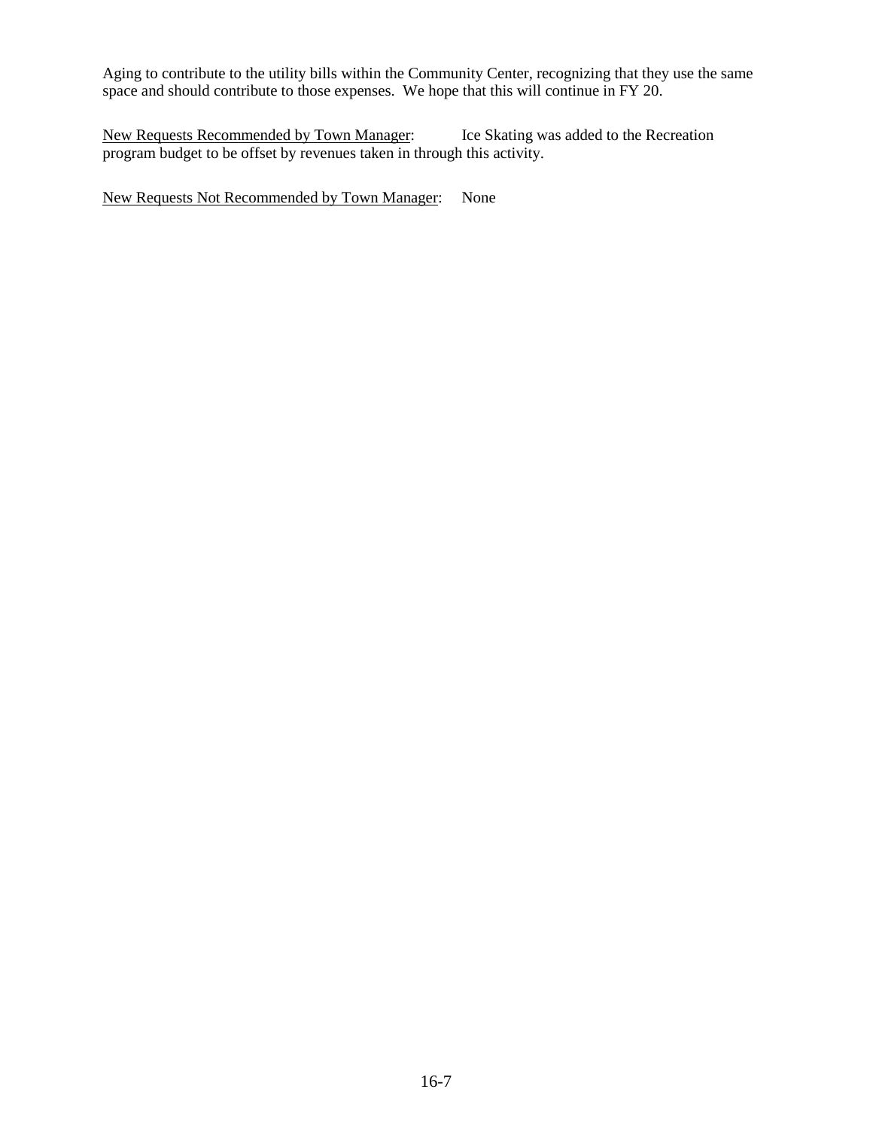Aging to contribute to the utility bills within the Community Center, recognizing that they use the same space and should contribute to those expenses. We hope that this will continue in FY 20.

New Requests Recommended by Town Manager: Ice Skating was added to the Recreation program budget to be offset by revenues taken in through this activity.

New Requests Not Recommended by Town Manager: None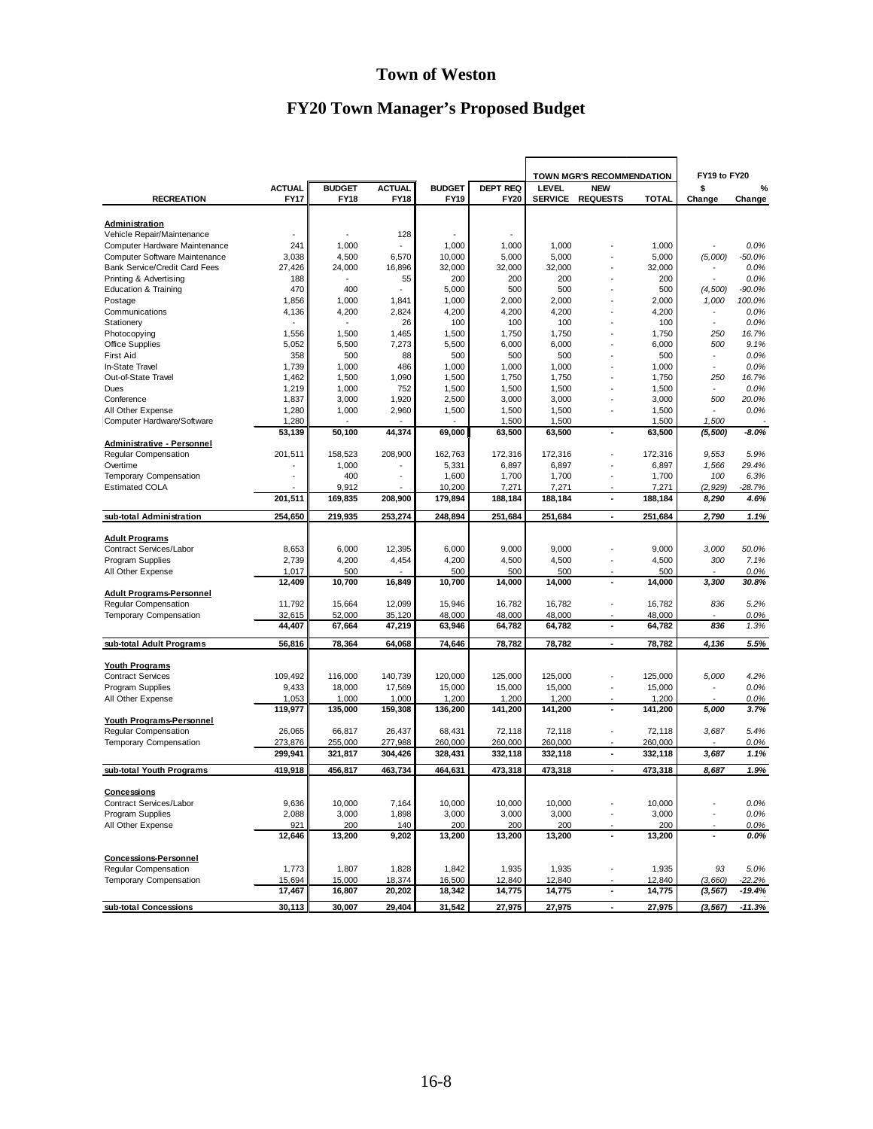## **Town of Weston**

# **FY20 Town Manager's Proposed Budget**

|                                      |                              |                              |                              |                       |                                | TOWN MGR'S RECOMMENDATION      |                               | FY19 to FY20     |                          |              |
|--------------------------------------|------------------------------|------------------------------|------------------------------|-----------------------|--------------------------------|--------------------------------|-------------------------------|------------------|--------------------------|--------------|
| <b>RECREATION</b>                    | <b>ACTUAL</b><br><b>FY17</b> | <b>BUDGET</b><br><b>FY18</b> | <b>ACTUAL</b><br><b>FY18</b> | <b>BUDGET</b><br>FY19 | <b>DEPT REQ</b><br><b>FY20</b> | <b>LEVEL</b><br><b>SERVICE</b> | <b>NEW</b><br><b>REQUESTS</b> | <b>TOTAL</b>     | \$<br>Change             | %<br>Change  |
|                                      |                              |                              |                              |                       |                                |                                |                               |                  |                          |              |
| <b>Administration</b>                |                              |                              |                              |                       |                                |                                |                               |                  |                          |              |
| Vehicle Repair/Maintenance           |                              |                              | 128                          |                       |                                |                                |                               |                  |                          |              |
| Computer Hardware Maintenance        | 241                          | 1,000                        |                              | 1,000                 | 1,000                          | 1,000                          |                               | 1,000            |                          | 0.0%         |
| Computer Software Maintenance        | 3,038                        | 4,500                        | 6,570                        | 10,000                | 5,000                          | 5,000                          |                               | 5,000            | (5,000)                  | $-50.0%$     |
| <b>Bank Service/Credit Card Fees</b> | 27,426                       | 24,000                       | 16,896                       | 32,000                | 32,000                         | 32,000                         | ٠                             | 32,000           |                          | 0.0%         |
| Printing & Advertising               | 188                          |                              | 55                           | 200                   | 200                            | 200                            | ÷.                            | 200              |                          | 0.0%         |
| <b>Education &amp; Training</b>      | 470                          | 400                          |                              | 5,000                 | 500                            | 500                            | ä,                            | 500              | (4,500)                  | $-90.0%$     |
| Postage                              | 1,856                        | 1,000                        | 1,841                        | 1,000                 | 2,000                          | 2,000                          | ÷.                            | 2,000            | 1,000                    | 100.0%       |
| Communications                       | 4,136                        | 4,200                        | 2,824                        | 4,200                 | 4,200                          | 4,200                          |                               | 4,200            |                          | 0.0%         |
| Stationery                           |                              |                              | 26                           | 100                   | 100                            | 100                            |                               | 100              | $\sim$                   | 0.0%         |
| Photocopying                         | 1,556                        | 1,500                        | 1,465                        | 1,500                 | 1,750                          | 1,750                          | ÷,                            | 1,750            | 250                      | 16.7%        |
| <b>Office Supplies</b>               | 5,052                        | 5,500                        | 7,273                        | 5,500                 | 6,000                          | 6,000                          |                               | 6,000            | 500                      | 9.1%         |
| First Aid                            | 358                          | 500                          | 88                           | 500                   | 500                            | 500                            | ÷.                            | 500              |                          | 0.0%         |
| In-State Travel                      | 1,739                        | 1,000                        | 486                          | 1,000                 | 1,000                          | 1,000                          | $\overline{a}$                | 1,000            | $\sim$                   | 0.0%         |
| Out-of-State Travel                  | 1,462                        | 1,500                        | 1,090                        | 1,500                 | 1,750                          | 1,750                          | ÷.                            | 1,750            | 250                      | 16.7%        |
| Dues                                 | 1,219                        | 1,000                        | 752                          | 1,500                 | 1,500                          | 1,500                          | ä,                            | 1,500            | $\blacksquare$           | 0.0%         |
| Conference                           | 1,837                        | 3,000                        | 1,920                        | 2,500                 | 3,000                          | 3,000                          |                               | 3,000            | 500                      | 20.0%        |
| All Other Expense                    | 1,280                        | 1,000                        | 2,960                        | 1,500                 | 1,500                          | 1,500                          | ä,                            | 1,500            |                          | 0.0%         |
| Computer Hardware/Software           | 1,280                        |                              |                              |                       | 1,500                          | 1,500                          |                               | 1,500            | 1,500                    |              |
|                                      | 53,139                       | 50,100                       | 44,374                       | 69,000                | 63,500                         | 63,500                         | ٠                             | 63,500           | (5,500)                  | $-8.0\%$     |
| <b>Administrative - Personnel</b>    |                              |                              |                              |                       |                                |                                |                               |                  |                          |              |
| Regular Compensation                 | 201,511                      | 158,523                      | 208,900                      | 162,763               | 172,316                        | 172,316                        |                               | 172.316          | 9,553                    | 5.9%         |
| Overtime                             |                              | 1,000                        |                              | 5,331                 | 6,897                          | 6,897                          |                               | 6,897            | 1,566                    | 29.4%        |
| <b>Temporary Compensation</b>        |                              | 400                          |                              | 1,600                 | 1,700                          | 1,700                          |                               | 1,700            | 100                      | 6.3%         |
| <b>Estimated COLA</b>                |                              | 9,912                        |                              | 10,200                | 7,271                          | 7,271                          |                               | 7,271            | (2, 929)                 | -28.7%       |
|                                      | 201,511                      | 169,835                      | 208,900                      | 179,894               | 188,184                        | 188,184                        | $\blacksquare$                | 188,184          | 8,290                    | 4.6%         |
| sub-total Administration             | 254,650                      | 219,935                      | 253,274                      | 248,894               | 251,684                        | 251,684                        | $\blacksquare$                | 251,684          | 2,790                    | 1.1%         |
|                                      |                              |                              |                              |                       |                                |                                |                               |                  |                          |              |
| <b>Adult Programs</b>                |                              |                              |                              |                       |                                |                                |                               |                  |                          |              |
| Contract Services/Labor              | 8,653                        | 6,000                        | 12,395                       | 6,000                 | 9,000                          | 9,000                          |                               | 9,000            | 3,000                    | 50.0%        |
| Program Supplies                     | 2,739                        | 4,200                        | 4,454                        | 4,200                 | 4,500                          | 4,500                          | ä,                            | 4,500            | 300                      | 7.1%         |
| All Other Expense                    | 1,017                        | 500                          |                              | 500                   | 500                            | 500                            |                               | 500              |                          | 0.0%         |
|                                      | 12,409                       | 10,700                       | 16,849                       | 10,700                | 14,000                         | 14,000                         |                               | 14,000           | 3,300                    | 30.8%        |
| <b>Adult Programs-Personnel</b>      |                              |                              |                              |                       |                                |                                | $\blacksquare$                |                  |                          |              |
| Regular Compensation                 | 11,792                       | 15,664                       | 12,099                       | 15,946<br>48,000      | 16,782<br>48,000               | 16,782                         |                               | 16,782           | 836                      | 5.2%         |
| <b>Temporary Compensation</b>        | 32,615<br>44,407             | 52,000<br>67,664             | 35,120<br>47,219             | 63,946                | 64,782                         | 48,000<br>64,782               | ä,                            | 48,000<br>64,782 | 836                      | 0.0%<br>1.3% |
| sub-total Adult Programs             | 56,816                       | 78,364                       | 64,068                       | 74,646                | 78,782                         | 78,782                         | $\blacksquare$                | 78,782           | 4,136                    | 5.5%         |
|                                      |                              |                              |                              |                       |                                |                                |                               |                  |                          |              |
| <b>Youth Programs</b>                |                              |                              |                              |                       |                                |                                |                               |                  |                          |              |
| <b>Contract Services</b>             | 109,492                      | 116,000                      | 140,739                      | 120,000               | 125,000                        | 125,000                        | ÷.                            | 125,000          | 5,000                    | 4.2%         |
| Program Supplies                     | 9,433                        | 18,000                       | 17,569                       | 15,000                | 15,000                         | 15,000                         | ÷,                            | 15,000           | $\blacksquare$           | 0.0%         |
| All Other Expense                    | 1,053                        | 1,000                        | 1,000                        | 1,200                 | 1,200                          | 1,200                          |                               | 1,200            |                          | 0.0%         |
|                                      | 119,977                      | 135,000                      | 159,308                      | 136,200               | 141,200                        | 141,200                        | $\blacksquare$                | 141,200          | 5,000                    | 3.7%         |
| <b>Youth Programs-Personnel</b>      |                              |                              |                              |                       |                                |                                |                               |                  |                          |              |
| Regular Compensation                 | 26,065                       | 66,817                       | 26,437                       | 68,431                | 72,118                         | 72,118                         |                               | 72,118           | 3,687                    | 5.4%         |
| Temporary Compensation               | 273,876                      | 255.000                      | 277,988                      | 260,000               | 260.000                        | 260,000                        | $\overline{\phantom{a}}$      | 260,000          |                          | 0.0%         |
|                                      | 299,941                      | 321,817                      | 304,426                      | 328,431               | 332,118                        | 332,118                        | $\overline{a}$                | 332,118          | 3,687                    | 1.1%         |
| sub-total Youth Programs             | 419,918                      | 456,817                      | 463,734                      | 464,631               | 473,318                        | 473,318                        | $\blacksquare$                | 473,318          | 8,687                    | 1.9%         |
|                                      |                              |                              |                              |                       |                                |                                |                               |                  |                          |              |
| Concessions                          |                              |                              |                              |                       |                                |                                |                               |                  |                          |              |
| Contract Services/Labor              | 9,636                        | 10,000                       | 7,164                        | 10,000                | 10,000                         | 10,000                         |                               | 10,000           | $\overline{\phantom{a}}$ | 0.0%         |
| Program Supplies                     | 2,088                        | 3,000                        | 1,898                        | 3,000                 | 3,000                          | 3,000                          | $\frac{1}{2}$                 | 3,000            | $\blacksquare$           | 0.0%         |
| All Other Expense                    | 921                          | 200                          | 140                          | 200                   | 200                            | 200                            |                               | 200              |                          | 0.0%         |
|                                      | 12,646                       | 13,200                       | 9,202                        | 13,200                | 13,200                         | 13,200                         | $\overline{\phantom{a}}$      | 13,200           | $\blacksquare$           | $0.0\%$      |
| <b>Concessions-Personnel</b>         |                              |                              |                              |                       |                                |                                |                               |                  |                          |              |
| Regular Compensation                 | 1,773                        | 1,807                        | 1,828                        | 1,842                 | 1,935                          | 1,935                          |                               | 1,935            | 93                       | 5.0%         |
| <b>Temporary Compensation</b>        | 15,694                       | 15,000                       | 18,374                       | 16,500                | 12,840                         | 12,840                         |                               | 12,840           | (3,660)                  | $-22.2%$     |
|                                      | 17,467                       | 16,807                       | 20,202                       | 18,342                | 14,775                         | 14,775                         | $\blacksquare$                | 14,775           | (3, 567)                 | $-19.4%$     |
| sub-total Concessions                | 30,113                       | 30,007                       | 29,404                       | 31,542                | 27,975                         | 27,975                         | $\blacksquare$                | 27,975           | (3, 567)                 | $-11.3%$     |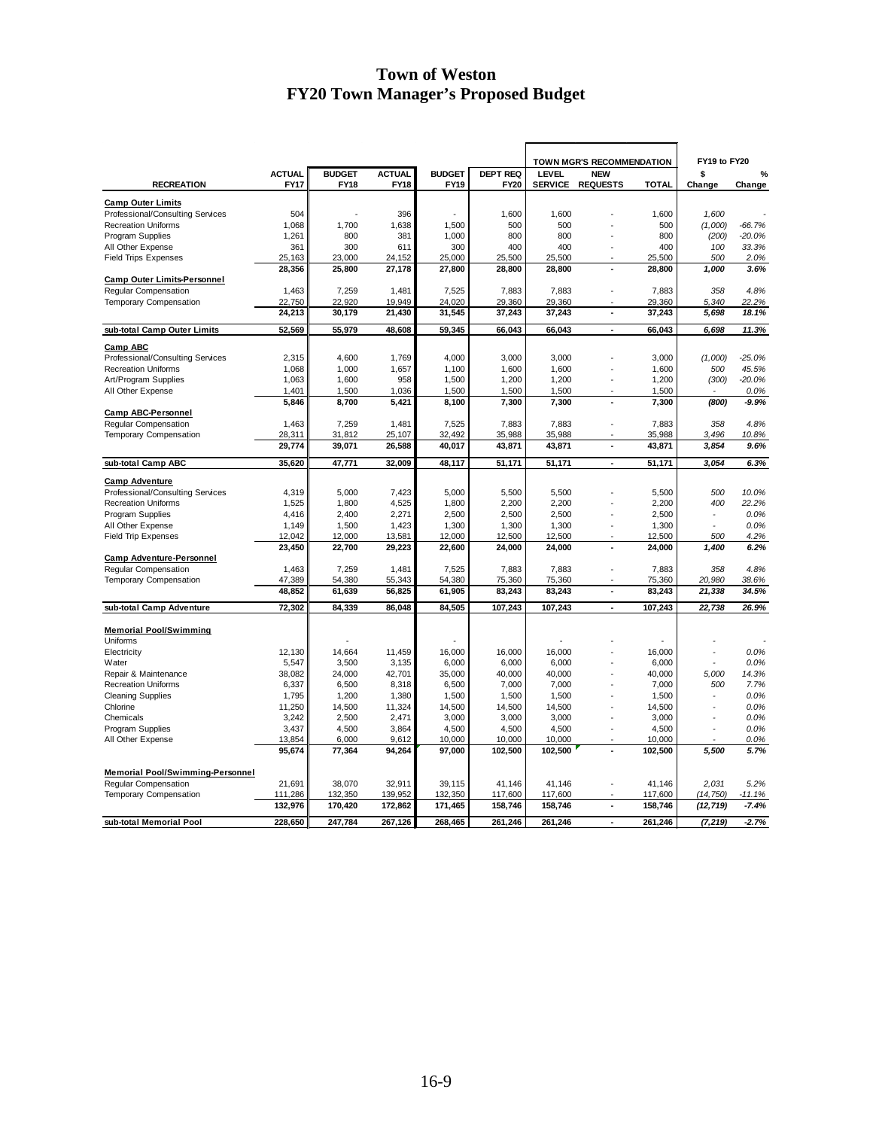|                                                   |               |               |               |               |                 | TOWN MGR'S RECOMMENDATION |                 |              | FY19 to FY20 |          |
|---------------------------------------------------|---------------|---------------|---------------|---------------|-----------------|---------------------------|-----------------|--------------|--------------|----------|
|                                                   | <b>ACTUAL</b> | <b>BUDGET</b> | <b>ACTUAL</b> | <b>BUDGET</b> | <b>DEPT REQ</b> | LEVEL                     | <b>NEW</b>      |              | \$           | %        |
| <b>RECREATION</b>                                 | <b>FY17</b>   | <b>FY18</b>   | <b>FY18</b>   | <b>FY19</b>   | <b>FY20</b>     | <b>SERVICE</b>            | <b>REQUESTS</b> | <b>TOTAL</b> | Change       | Change   |
|                                                   |               |               |               |               |                 |                           |                 |              |              |          |
| <b>Camp Outer Limits</b>                          |               |               |               |               |                 |                           |                 |              |              |          |
| Professional/Consulting Services                  | 504           |               | 396           |               | 1,600           | 1,600                     |                 | 1,600        | 1,600        |          |
| <b>Recreation Uniforms</b>                        | 1,068         | 1,700         | 1,638         | 1,500         | 500<br>800      | 500                       |                 | 500<br>800   | (1,000)      | $-66.7%$ |
| Program Supplies                                  | 1,261         | 800           | 381           | 1,000         |                 | 800                       |                 |              | (200)        | $-20.0%$ |
| All Other Expense                                 | 361           | 300           | 611           | 300           | 400             | 400                       |                 | 400          | 100          | 33.3%    |
| <b>Field Trips Expenses</b>                       | 25,163        | 23,000        | 24,152        | 25,000        | 25,500          | 25,500                    | $\overline{a}$  | 25,500       | 500          | 2.0%     |
| <b>Camp Outer Limits-Personnel</b>                | 28,356        | 25,800        | 27,178        | 27,800        | 28,800          | 28,800                    |                 | 28,800       | 1,000        | 3.6%     |
| Regular Compensation                              | 1,463         | 7,259         | 1,481         | 7,525         | 7,883           | 7,883                     | ÷.              | 7,883        | 358          | 4.8%     |
| Temporary Compensation                            | 22,750        | 22,920        | 19,949        | 24,020        | 29,360          | 29,360                    |                 | 29,360       | 5,340        | 22.2%    |
|                                                   | 24,213        | 30,179        | 21,430        | 31,545        | 37,243          | 37,243                    | ÷,              | 37,243       | 5,698        | 18.1%    |
| sub-total Camp Outer Limits                       | 52,569        | 55,979        | 48,608        | 59,345        | 66,043          | 66,043                    | $\blacksquare$  | 66,043       | 6,698        | 11.3%    |
|                                                   |               |               |               |               |                 |                           |                 |              |              |          |
| <b>Camp ABC</b>                                   |               |               |               |               |                 |                           |                 |              |              |          |
| Professional/Consulting Services                  | 2,315         | 4,600         | 1,769         | 4,000         | 3,000           | 3,000                     |                 | 3,000        | (1,000)      | $-25.0%$ |
| <b>Recreation Uniforms</b>                        | 1,068         | 1,000         | 1,657         | 1,100         | 1,600           | 1,600                     |                 | 1,600        | 500          | 45.5%    |
| Art/Program Supplies                              | 1,063         | 1,600         | 958           | 1,500         | 1,200           | 1,200                     | L,              | 1,200        | (300)        | $-20.0%$ |
| All Other Expense                                 | 1,401         | 1,500         | 1,036         | 1,500         | 1,500           | 1,500                     | ä,              | 1,500        |              | 0.0%     |
|                                                   | 5.846         | 8,700         | 5,421         | 8,100         | 7,300           | 7,300                     |                 | 7,300        | (800)        | $-9.9%$  |
| <b>Camp ABC-Personnel</b><br>Regular Compensation | 1,463         | 7,259         | 1,481         | 7,525         | 7,883           | 7,883                     | ÷.              | 7,883        | 358          | 4.8%     |
| Temporary Compensation                            | 28,311        | 31,812        | 25,107        | 32,492        | 35,988          | 35,988                    |                 | 35,988       | 3,496        | 10.8%    |
|                                                   | 29,774        | 39,071        | 26,588        | 40,017        | 43,871          | 43,871                    | $\overline{a}$  | 43,871       | 3,854        | 9.6%     |
| sub-total Camp ABC                                | 35,620        | 47,771        | 32,009        | 48,117        | 51,171          | 51,171                    | ٠               | 51,171       | 3,054        | 6.3%     |
|                                                   |               |               |               |               |                 |                           |                 |              |              |          |
| <b>Camp Adventure</b>                             |               |               |               |               |                 |                           |                 |              |              |          |
| Professional/Consulting Services                  | 4,319         | 5,000         | 7,423         | 5,000         | 5,500           | 5,500                     |                 | 5,500        | 500          | 10.0%    |
| <b>Recreation Uniforms</b>                        | 1,525         | 1,800         | 4,525         | 1,800         | 2,200           | 2,200                     | ä,              | 2,200        | 400          | 22.2%    |
| Program Supplies                                  | 4,416         | 2,400         | 2,271         | 2,500         | 2,500           | 2,500                     |                 | 2,500        |              | 0.0%     |
| All Other Expense                                 | 1,149         | 1,500         | 1,423         | 1,300         | 1,300           | 1,300                     | ä,              | 1,300        |              | 0.0%     |
| <b>Field Trip Expenses</b>                        | 12,042        | 12,000        | 13,581        | 12,000        | 12,500          | 12,500                    |                 | 12,500       | <i>500</i>   | 4.2%     |
|                                                   | 23,450        | 22,700        | 29,223        | 22,600        | 24,000          | 24,000                    | ÷.              | 24,000       | 1,400        | 6.2%     |
| <b>Camp Adventure-Personnel</b>                   |               |               |               |               |                 |                           |                 |              |              |          |
| Regular Compensation                              | 1,463         | 7,259         | 1,481         | 7,525         | 7,883           | 7,883                     | ä,              | 7,883        | 358          | 4.8%     |
| Temporary Compensation                            | 47,389        | 54,380        | 55,343        | 54,380        | 75,360          | 75,360                    | ÷,              | 75,360       | 20.980       | 38.6%    |
|                                                   | 48,852        | 61,639        | 56,825        | 61,905        | 83,243          | 83,243                    |                 | 83,243       | 21,338       | 34.5%    |
| sub-total Camp Adventure                          | 72,302        | 84,339        | 86,048        | 84,505        | 107,243         | 107,243                   | $\blacksquare$  | 107,243      | 22,738       | 26.9%    |
|                                                   |               |               |               |               |                 |                           |                 |              |              |          |
| <b>Memorial Pool/Swimming</b>                     |               |               |               |               |                 |                           |                 |              |              |          |
| Uniforms<br>Electricity                           | 12,130        | 14,664        | 11,459        | 16,000        | 16,000          | 16,000                    |                 | 16,000       |              | 0.0%     |
| Water                                             | 5,547         | 3,500         | 3,135         | 6,000         | 6,000           | 6,000                     |                 | 6,000        |              | 0.0%     |
| Repair & Maintenance                              | 38,082        | 24,000        | 42,701        | 35,000        | 40,000          | 40,000                    |                 | 40,000       | 5,000        | 14.3%    |
| <b>Recreation Uniforms</b>                        | 6,337         | 6,500         | 8,318         | 6,500         | 7,000           | 7,000                     |                 | 7,000        | 500          | 7.7%     |
| <b>Cleaning Supplies</b>                          | 1,795         | 1,200         | 1,380         | 1,500         | 1,500           | 1,500                     | ÷,              | 1,500        |              | 0.0%     |
| Chlorine                                          | 11,250        | 14,500        | 11,324        | 14,500        | 14,500          | 14,500                    | ä,              | 14,500       |              | 0.0%     |
| Chemicals                                         | 3,242         | 2,500         | 2,471         | 3,000         | 3,000           | 3,000                     |                 | 3,000        |              | 0.0%     |
| Program Supplies                                  | 3,437         | 4,500         | 3,864         | 4,500         | 4,500           | 4,500                     | ä,              | 4,500        |              | 0.0%     |
| All Other Expense                                 | 13,854        | 6.000         | 9.612         | 10.000        | 10.000          | 10.000                    |                 | 10.000       |              | $0.0\%$  |
|                                                   | 95,674        | 77,364        | 94,264        | 97,000        | 102,500         | 102,500                   |                 | 102,500      | 5,500        | 5.7%     |
|                                                   |               |               |               |               |                 |                           |                 |              |              |          |
| <b>Memorial Pool/Swimming-Personnel</b>           |               |               |               |               |                 |                           |                 |              |              |          |
| Regular Compensation                              | 21,691        | 38,070        | 32,911        | 39,115        | 41,146          | 41,146                    |                 | 41,146       | 2,031        | 5.2%     |
| <b>Temporary Compensation</b>                     | 111,286       | 132,350       | 139,952       | 132,350       | 117,600         | 117,600                   |                 | 117,600      | (14, 750)    | $-11.1%$ |
|                                                   | 132,976       | 170,420       | 172,862       | 171,465       | 158,746         | 158,746                   | ÷,              | 158,746      | (12, 719)    | $-7.4%$  |
| sub-total Memorial Pool                           | 228,650       | 247,784       | 267,126       | 268,465       | 261,246         | 261,246                   | $\blacksquare$  | 261,246      | (7, 219)     | $-2.7%$  |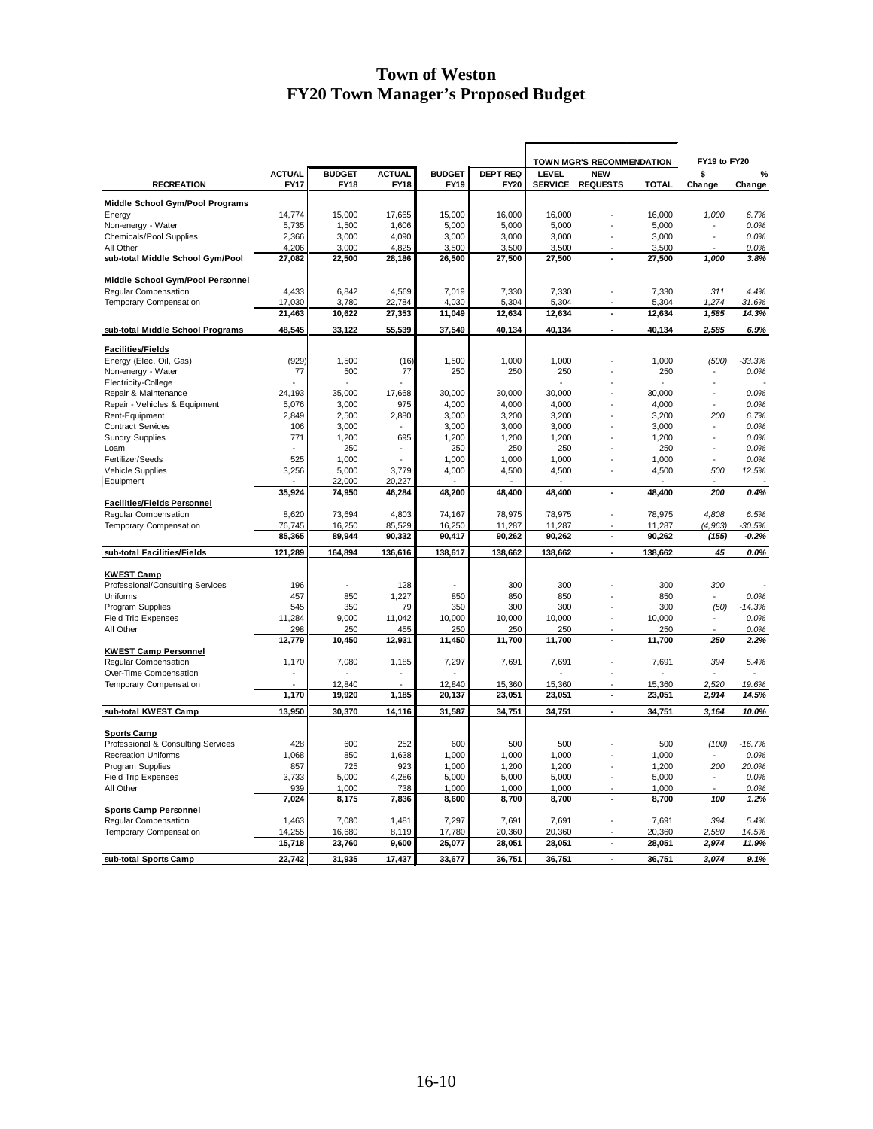|                                               |                  |                  |                 |                  |                  | TOWN MGR'S RECOMMENDATION |                  |                  | FY19 to FY20   |                |
|-----------------------------------------------|------------------|------------------|-----------------|------------------|------------------|---------------------------|------------------|------------------|----------------|----------------|
|                                               | <b>ACTUAL</b>    | <b>BUDGET</b>    | <b>ACTUAL</b>   | <b>BUDGET</b>    | <b>DEPT REQ</b>  | LEVEL                     | <b>NEW</b>       |                  | \$             | $\frac{9}{6}$  |
| <b>RECREATION</b>                             | <b>FY17</b>      | <b>FY18</b>      | <b>FY18</b>     | <b>FY19</b>      | <b>FY20</b>      |                           | SERVICE REQUESTS | <b>TOTAL</b>     | Change         | Change         |
|                                               |                  |                  |                 |                  |                  |                           |                  |                  |                |                |
| <b>Middle School Gym/Pool Programs</b>        |                  |                  |                 | 15,000           |                  |                           |                  |                  |                |                |
| Energy                                        | 14,774<br>5,735  | 15,000<br>1,500  | 17,665<br>1,606 | 5,000            | 16,000           | 16,000<br>5,000           |                  | 16,000<br>5,000  | 1,000          | 6.7%<br>0.0%   |
| Non-energy - Water<br>Chemicals/Pool Supplies | 2,366            | 3,000            | 4,090           | 3,000            | 5,000            | 3,000                     |                  |                  | ÷,             | 0.0%           |
| All Other                                     |                  |                  |                 |                  | 3,000            |                           |                  | 3,000            |                |                |
| sub-total Middle School Gym/Pool              | 4,206<br>27,082  | 3,000<br>22,500  | 4,825<br>28,186 | 3,500<br>26,500  | 3,500<br>27,500  | 3,500<br>27,500           |                  | 3,500<br>27,500  | 1,000          | 0.0%<br>3.8%   |
|                                               |                  |                  |                 |                  |                  |                           |                  |                  |                |                |
| Middle School Gvm/Pool Personnel              |                  |                  |                 |                  |                  |                           |                  |                  |                |                |
| Regular Compensation                          | 4,433            | 6,842            | 4,569           | 7,019            | 7,330            | 7,330                     |                  | 7,330            | 311            | 4.4%           |
| Temporary Compensation                        | 17,030           | 3,780            | 22,784          | 4,030            | 5,304            | 5,304                     |                  | 5,304            | 1,274          | 31.6%          |
|                                               | 21,463           | 10,622           | 27,353          | 11,049           | 12,634           | 12,634                    | ä,               | 12,634           | 1,585          | 14.3%          |
|                                               |                  |                  |                 |                  |                  |                           | ÷,               |                  |                |                |
| sub-total Middle School Programs              | 48,545           | 33,122           | 55,539          | 37,549           | 40,134           | 40,134                    |                  | 40,134           | 2,585          | 6.9%           |
| <b>Facilities/Fields</b>                      |                  |                  |                 |                  |                  |                           |                  |                  |                |                |
| Energy (Elec, Oil, Gas)                       | (929)            | 1,500            | (16)            | 1,500            | 1,000            | 1,000                     |                  | 1,000            | (500)          | $-33.3%$       |
| Non-energy - Water                            | 77               | 500              | 77              | 250              | 250              | 250                       |                  | 250              |                | 0.0%           |
| Electricity-College                           |                  |                  |                 |                  |                  |                           |                  |                  |                |                |
| Repair & Maintenance                          | 24,193           | 35,000           | 17,668          | 30,000           | 30,000           | 30,000                    |                  | 30,000           |                | 0.0%           |
| Repair - Vehicles & Equipment                 | 5,076            | 3,000            | 975             | 4,000            | 4,000            | 4,000                     | ä,               | 4,000            |                | 0.0%           |
| Rent-Equipment                                | 2,849            | 2,500            | 2,880           | 3,000            | 3,200            | 3,200                     |                  | 3,200            | 200            | 6.7%           |
| <b>Contract Services</b>                      | 106              | 3,000            |                 | 3,000            | 3,000            | 3,000                     |                  | 3,000            |                | 0.0%           |
| <b>Sundry Supplies</b>                        | 771              | 1,200            | 695             | 1,200            | 1,200            | 1,200                     |                  | 1,200            |                | 0.0%           |
| Loam                                          |                  | 250              |                 | 250              | 250              | 250                       |                  | 250              | $\overline{a}$ | 0.0%           |
| Fertilizer/Seeds                              | 525              | 1,000            |                 | 1,000            | 1,000            | 1,000                     |                  | 1,000            |                | 0.0%           |
| <b>Vehicle Supplies</b>                       | 3,256            | 5,000            | 3,779           | 4,000            | 4,500            | 4,500                     |                  | 4,500            | 500            | 12.5%          |
| Equipment                                     |                  | 22,000           | 20,227          |                  |                  |                           |                  |                  |                |                |
|                                               | 35,924           | 74,950           | 46,284          | 48,200           | 48,400           | 48,400                    | ÷,               | 48,400           | 200            | 0.4%           |
| <b>Facilities/Fields Personnel</b>            |                  |                  |                 |                  |                  |                           |                  |                  |                |                |
| Regular Compensation                          | 8,620            | 73,694           | 4,803           | 74,167           | 78,975           | 78,975                    | ÷,               | 78,975           | 4.808          | 6.5%           |
| Temporary Compensation                        | 76,745           | 16,250           | 85,529          | 16,250           | 11,287           | 11,287                    |                  | 11,287           | (4, 963)       | $-30.5%$       |
|                                               | 85,365           | 89,944           | 90,332          | 90,417           | 90,262           | 90,262                    | ÷,               | 90,262           | (155)          | $-0.2%$        |
| sub-total Facilities/Fields                   | 121,289          | 164,894          | 136,616         | 138,617          | 138,662          | 138,662                   | $\blacksquare$   | 138,662          | 45             | 0.0%           |
|                                               |                  |                  |                 |                  |                  |                           |                  |                  |                |                |
| <b>KWEST Camp</b>                             |                  |                  |                 |                  |                  |                           |                  |                  |                |                |
| Professional/Consulting Services              | 196              |                  | 128             |                  | 300              | 300                       |                  | 300              | 300            |                |
| Uniforms                                      | 457              | 850              | 1,227           | 850              | 850              | 850                       |                  | 850              |                | 0.0%           |
| Program Supplies                              | 545              | 350              | 79              | 350              | 300              | 300                       |                  | 300              | (50)           | $-14.3%$       |
| <b>Field Trip Expenses</b>                    | 11,284           | 9,000            | 11,042          | 10,000           | 10,000           | 10,000                    | ä,               | 10,000           |                | 0.0%           |
| All Other                                     | 298              | 250              | 455             | 250              | 250              | 250                       |                  | 250              |                | 0.0%           |
|                                               | 12,779           | 10,450           | 12,931          | 11,450           | 11,700           | 11,700                    | ÷,               | 11,700           | 250            | 2.2%           |
| <b>KWEST Camp Personnel</b>                   |                  |                  |                 |                  |                  |                           |                  |                  |                |                |
| <b>Regular Compensation</b>                   | 1,170            | 7,080            | 1,185           | 7,297            | 7,691            | 7,691                     |                  | 7,691            | 394            | 5.4%           |
| Over-Time Compensation                        |                  |                  |                 |                  |                  |                           |                  |                  |                |                |
| Temporary Compensation                        |                  | 12,840           |                 | 12,840           | 15,360           | 15,360                    |                  | 15,360           | 2,520          | 19.6%          |
|                                               | 1,170            | 19,920           | 1,185           | 20,137           | 23,051           | 23,051                    | ä,               | 23,051           | 2,914          | 14.5%          |
| sub-total KWEST Camp                          | 13,950           | 30,370           | 14,116          | 31,587           | 34,751           | 34,751                    | $\blacksquare$   | 34,751           | 3,164          | 10.0%          |
|                                               |                  |                  |                 |                  |                  |                           |                  |                  |                |                |
| <b>Sports Camp</b>                            |                  |                  |                 |                  |                  |                           |                  |                  |                |                |
| Professional & Consulting Services            | 428              | 600              | 252             | 600              | 500              | 500                       |                  | 500              | (100)          | $-16.7%$       |
| <b>Recreation Uniforms</b>                    | 1,068            | 850              | 1,638           | 1,000            | 1,000            | 1,000                     | l,               | 1,000            |                | 0.0%           |
| Program Supplies                              | 857              | 725              | 923             | 1,000            | 1,200            | 1,200                     |                  | 1,200            | 200            | 20.0%          |
| <b>Field Trip Expenses</b>                    | 3,733            | 5,000            | 4,286           | 5,000            | 5,000            | 5,000                     | L,               | 5,000            |                | 0.0%           |
| All Other                                     | 939              | 1,000            | 738             | 1,000            | 1,000            | 1,000                     |                  | 1,000            |                | 0.0%           |
|                                               | 7,024            | 8,175            | 7,836           | 8,600            | 8,700            | 8,700                     | ä,               | 8,700            | 100            | 1.2%           |
| <b>Sports Camp Personnel</b>                  |                  |                  |                 |                  |                  |                           |                  |                  |                |                |
| <b>Regular Compensation</b>                   | 1,463            | 7,080            | 1,481           | 7,297            | 7,691            | 7,691                     |                  | 7,691            | 394            | 5.4%           |
| Temporary Compensation                        | 14,255<br>15,718 | 16,680<br>23,760 | 8,119<br>9,600  | 17,780<br>25,077 | 20,360<br>28,051 | 20,360<br>28,051          | Ĭ.               | 20,360<br>28,051 | 2,580<br>2,974 | 14.5%<br>11.9% |
|                                               |                  |                  |                 |                  |                  |                           |                  |                  |                |                |
| sub-total Sports Camp                         | 22,742           | 31,935           | 17,437          | 33,677           | 36,751           | 36,751                    | $\overline{a}$   | 36,751           | 3,074          | 9.1%           |